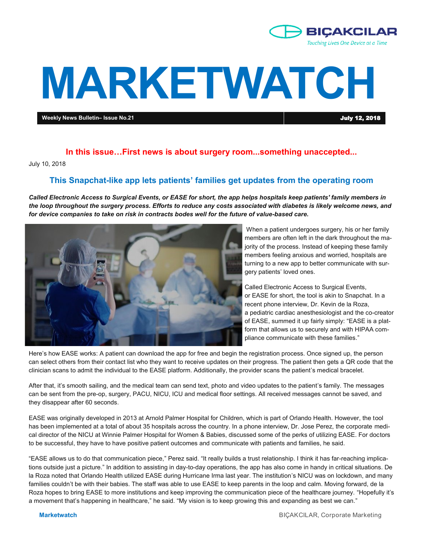

# **MARKETWATCH**

**Weekly News Bulletin– Issue No.21** July 12, 2018

#### **In this issue…First news is about surgery room...something unaccepted...**

July 10, 2018

#### **This Snapchat-like app lets patients' families get updates from the operating room**

*Called Electronic Access to Surgical Events, or EASE for short, the app helps hospitals keep patients' family members in the loop throughout the surgery process. Efforts to reduce any costs associated with diabetes is likely welcome news, and for device companies to take on risk in contracts bodes well for the future of value-based care.*



When a patient undergoes surgery, his or her family members are often left in the dark throughout the majority of the process. Instead of keeping these family members feeling anxious and worried, hospitals are turning to a new app to better communicate with surgery patients' loved ones.

Called Electronic Access to Surgical Events, or EASE for short, the tool is akin to Snapchat. In a recent phone interview, Dr. Kevin de la Roza, a pediatric cardiac anesthesiologist and the co-creator of EASE, summed it up fairly simply: "EASE is a platform that allows us to securely and with HIPAA compliance communicate with these families."

Here's how EASE works: A patient can download the app for free and begin the registration process. Once signed up, the person can select others from their contact list who they want to receive updates on their progress. The patient then gets a QR code that the clinician scans to admit the individual to the EASE platform. Additionally, the provider scans the patient's medical bracelet.

After that, it's smooth sailing, and the medical team can send text, photo and video updates to the patient's family. The messages can be sent from the pre-op, surgery, PACU, NICU, ICU and medical floor settings. All received messages cannot be saved, and they disappear after 60 seconds.

EASE was originally developed in 2013 at Arnold Palmer Hospital for Children, which is part of Orlando Health. However, the tool has been implemented at a total of about 35 hospitals across the country. In a phone interview, Dr. Jose Perez, the corporate medical director of the NICU at Winnie Palmer Hospital for Women & Babies, discussed some of the perks of utilizing EASE. For doctors to be successful, they have to have positive patient outcomes and communicate with patients and families, he said.

"EASE allows us to do that communication piece," Perez said. "It really builds a trust relationship. I think it has far-reaching implications outside just a picture." In addition to assisting in day-to-day operations, the app has also come in handy in critical situations. De la Roza noted that Orlando Health utilized EASE during Hurricane Irma last year. The institution's NICU was on lockdown, and many families couldn't be with their babies. The staff was able to use EASE to keep parents in the loop and calm. Moving forward, de la Roza hopes to bring EASE to more institutions and keep improving the communication piece of the healthcare journey. "Hopefully it's a movement that's happening in healthcare," he said. "My vision is to keep growing this and expanding as best we can."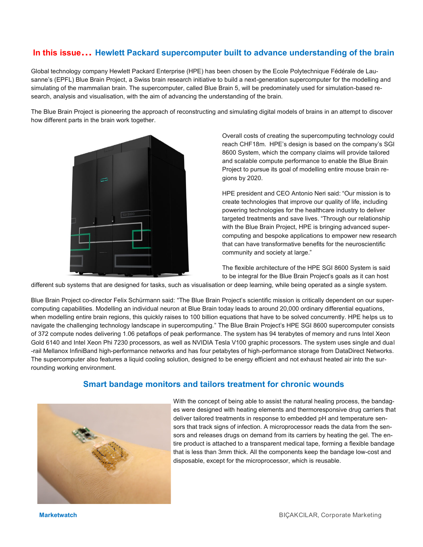# **In this issue… Hewlett Packard supercomputer built to advance understanding of the brain**

Global technology company Hewlett Packard Enterprise (HPE) has been chosen by the Ecole Polytechnique Fédérale de Lausanne's (EPFL) Blue Brain Project, a Swiss brain research initiative to build a next-generation supercomputer for the modelling and simulating of the mammalian brain. The supercomputer, called Blue Brain 5, will be predominately used for simulation-based research, analysis and visualisation, with the aim of advancing the understanding of the brain.

The Blue Brain Project is pioneering the approach of reconstructing and simulating digital models of brains in an attempt to discover how different parts in the brain work together.



Overall costs of creating the supercomputing technology could reach CHF18m. HPE's design is based on the company's SGI 8600 System, which the company claims will provide tailored and scalable compute performance to enable the Blue Brain Project to pursue its goal of modelling entire mouse brain regions by 2020.

HPE president and CEO Antonio Neri said: "Our mission is to create technologies that improve our quality of life, including powering technologies for the healthcare industry to deliver targeted treatments and save lives. "Through our relationship with the Blue Brain Project, HPE is bringing advanced supercomputing and bespoke applications to empower new research that can have transformative benefits for the neuroscientific community and society at large."

The flexible architecture of the HPE SGI 8600 System is said to be integral for the Blue Brain Project's goals as it can host

different sub systems that are designed for tasks, such as visualisation or deep learning, while being operated as a single system.

Blue Brain Project co-director Felix Schürmann said: "The Blue Brain Project's scientific mission is critically dependent on our supercomputing capabilities. Modelling an individual neuron at Blue Brain today leads to around 20,000 ordinary differential equations, when modelling entire brain regions, this quickly raises to 100 billion equations that have to be solved concurrently. HPE helps us to navigate the challenging technology landscape in supercomputing." The Blue Brain Project's HPE SGI 8600 supercomputer consists of 372 compute nodes delivering 1.06 petaflops of peak performance. The system has 94 terabytes of memory and runs Intel Xeon Gold 6140 and Intel Xeon Phi 7230 processors, as well as NVIDIA Tesla V100 graphic processors. The system uses single and dual -rail Mellanox InfiniBand high-performance networks and has four petabytes of high-performance storage from DataDirect Networks. The supercomputer also features a liquid cooling solution, designed to be energy efficient and not exhaust heated air into the surrounding working environment.

## **Smart bandage monitors and tailors treatment for chronic wounds**



With the concept of being able to assist the natural healing process, the bandages were designed with heating elements and thermoresponsive drug carriers that deliver tailored treatments in response to embedded pH and temperature sensors that track signs of infection. A microprocessor reads the data from the sensors and releases drugs on demand from its carriers by heating the gel. The entire product is attached to a transparent medical tape, forming a flexible bandage that is less than 3mm thick. All the components keep the bandage low-cost and disposable, except for the microprocessor, which is reusable.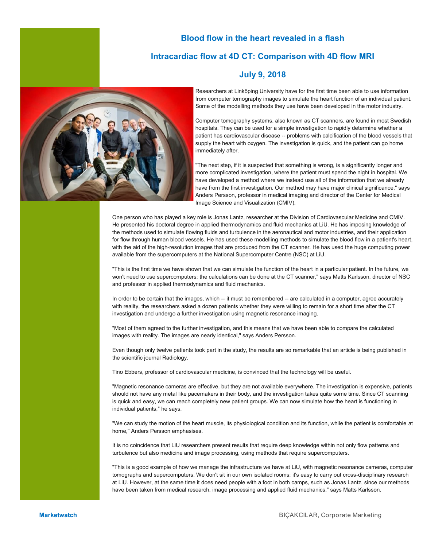## **Blood flow in the heart revealed in a flash**

#### **Intracardiac flow at 4D CT: Comparison with 4D flow MRI**





Researchers at Linköping University have for the first time been able to use information from computer tomography images to simulate the heart function of an individual patient. Some of the modelling methods they use have been developed in the motor industry.

Computer tomography systems, also known as CT scanners, are found in most Swedish hospitals. They can be used for a simple investigation to rapidly determine whether a patient has cardiovascular disease -- problems with calcification of the blood vessels that supply the heart with oxygen. The investigation is quick, and the patient can go home immediately after.

"The next step, if it is suspected that something is wrong, is a significantly longer and more complicated investigation, where the patient must spend the night in hospital. We have developed a method where we instead use all of the information that we already have from the first investigation. Our method may have major clinical significance," says Anders Persson, professor in medical imaging and director of the Center for Medical Image Science and Visualization (CMIV).

One person who has played a key role is Jonas Lantz, researcher at the Division of Cardiovascular Medicine and CMIV. He presented his doctoral degree in applied thermodynamics and fluid mechanics at LiU. He has imposing knowledge of the methods used to simulate flowing fluids and turbulence in the aeronautical and motor industries, and their application for flow through human blood vessels. He has used these modelling methods to simulate the blood flow in a patient's heart, with the aid of the high-resolution images that are produced from the CT scanner. He has used the huge computing power available from the supercomputers at the National Supercomputer Centre (NSC) at LiU.

"This is the first time we have shown that we can simulate the function of the heart in a particular patient. In the future, we won't need to use supercomputers: the calculations can be done at the CT scanner," says Matts Karlsson, director of NSC and professor in applied thermodynamics and fluid mechanics.

In order to be certain that the images, which -- it must be remembered -- are calculated in a computer, agree accurately with reality, the researchers asked a dozen patients whether they were willing to remain for a short time after the CT investigation and undergo a further investigation using magnetic resonance imaging.

"Most of them agreed to the further investigation, and this means that we have been able to compare the calculated images with reality. The images are nearly identical," says Anders Persson.

Even though only twelve patients took part in the study, the results are so remarkable that an article is being published in the scientific journal Radiology.

Tino Ebbers, professor of cardiovascular medicine, is convinced that the technology will be useful.

"Magnetic resonance cameras are effective, but they are not available everywhere. The investigation is expensive, patients should not have any metal like pacemakers in their body, and the investigation takes quite some time. Since CT scanning is quick and easy, we can reach completely new patient groups. We can now simulate how the heart is functioning in individual patients," he says.

"We can study the motion of the heart muscle, its physiological condition and its function, while the patient is comfortable at home," Anders Persson emphasises.

It is no coincidence that LiU researchers present results that require deep knowledge within not only flow patterns and turbulence but also medicine and image processing, using methods that require supercomputers.

"This is a good example of how we manage the infrastructure we have at LiU, with magnetic resonance cameras, computer tomographs and supercomputers. We don't sit in our own isolated rooms: it's easy to carry out cross-disciplinary research at LiU. However, at the same time it does need people with a foot in both camps, such as Jonas Lantz, since our methods have been taken from medical research, image processing and applied fluid mechanics," says Matts Karlsson.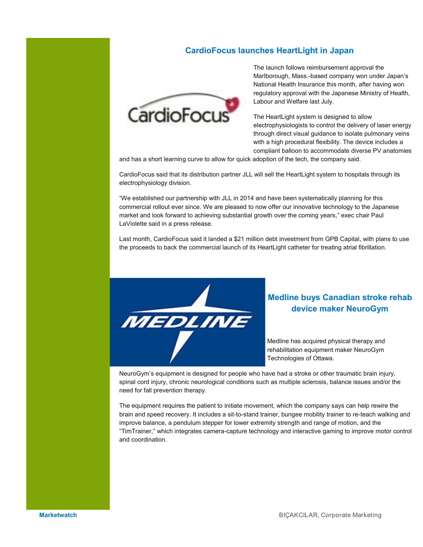## **CardioFocus launches HeartLight in Japan**



The launch follows reimbursement approval the Marlborough, Mass.-based company won under Japan's National Health Insurance this month, after having won regulatory approval with the Japanese Ministry of Health, Labour and Welfare last July.

The HeartLight system is designed to allow electrophysiologists to control the delivery of laser energy through direct visual guidance to isolate pulmonary veins with a high procedural flexibility. The device includes a compliant balloon to accommodate diverse PV anatomies

and has a short learning curve to allow for quick adoption of the tech, the company said.

CardioFocus said that its distribution partner JLL will sell the HeartLight system to hospitals through its electrophysiology division.

"We established our partnership with JLL in 2014 and have been systematically planning for this commercial rollout ever since. We are pleased to now offer our innovative technology to the Japanese market and look forward to achieving substantial growth over the coming years," exec chair Paul LaViolette said in a press release.

Last month, CardioFocus said it landed a \$21 million debt investment from GPB Capital, with plans to use the proceeds to back the commercial launch of its HeartLight catheter for treating atrial fibrillation.



# **Medline buys Canadian stroke rehab device maker NeuroGym**

Medline has acquired physical therapy and rehabilitation equipment maker NeuroGym Technologies of Ottawa.

NeuroGym's equipment is designed for people who have had a stroke or other traumatic brain injury, spinal cord injury, chronic neurological conditions such as multiple sclerosis, balance issues and/or the need for fall prevention therapy.

The equipment requires the patient to initiate movement, which the company says can help rewire the brain and speed recovery. It includes a sit-to-stand trainer, bungee mobility trainer to re-teach walking and improve balance, a pendulum stepper for lower extremity strength and range of motion, and the "TimTrainer," which integrates camera-capture technology and interactive gaming to improve motor control and coordination.